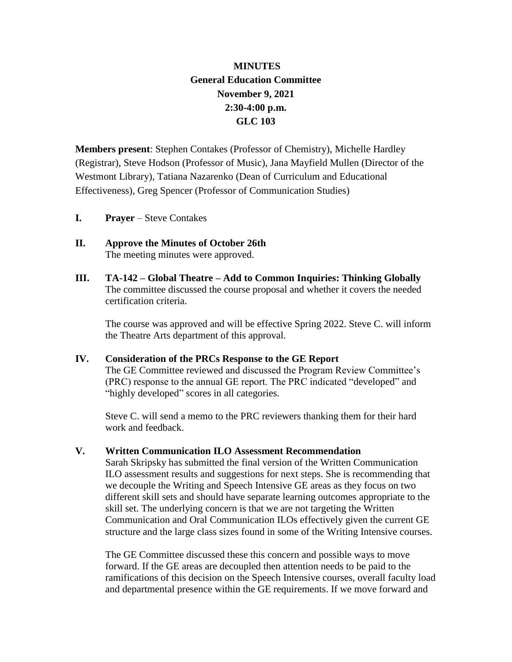## **MINUTES General Education Committee November 9, 2021 2:30-4:00 p.m. GLC 103**

**Members present**: Stephen Contakes (Professor of Chemistry), Michelle Hardley (Registrar), Steve Hodson (Professor of Music), Jana Mayfield Mullen (Director of the Westmont Library), Tatiana Nazarenko (Dean of Curriculum and Educational Effectiveness), Greg Spencer (Professor of Communication Studies)

- **I. Prayer** Steve Contakes
- **II. Approve the Minutes of October 26th** The meeting minutes were approved.
- **III. TA-142 – Global Theatre – Add to Common Inquiries: Thinking Globally** The committee discussed the course proposal and whether it covers the needed certification criteria.

The course was approved and will be effective Spring 2022. Steve C. will inform the Theatre Arts department of this approval.

**IV. Consideration of the PRCs Response to the GE Report** The GE Committee reviewed and discussed the Program Review Committee's (PRC) response to the annual GE report. The PRC indicated "developed" and "highly developed" scores in all categories.

Steve C. will send a memo to the PRC reviewers thanking them for their hard work and feedback.

## **V. Written Communication ILO Assessment Recommendation**

Sarah Skripsky has submitted the final version of the Written Communication ILO assessment results and suggestions for next steps. She is recommending that we decouple the Writing and Speech Intensive GE areas as they focus on two different skill sets and should have separate learning outcomes appropriate to the skill set. The underlying concern is that we are not targeting the Written Communication and Oral Communication ILOs effectively given the current GE structure and the large class sizes found in some of the Writing Intensive courses.

The GE Committee discussed these this concern and possible ways to move forward. If the GE areas are decoupled then attention needs to be paid to the ramifications of this decision on the Speech Intensive courses, overall faculty load and departmental presence within the GE requirements. If we move forward and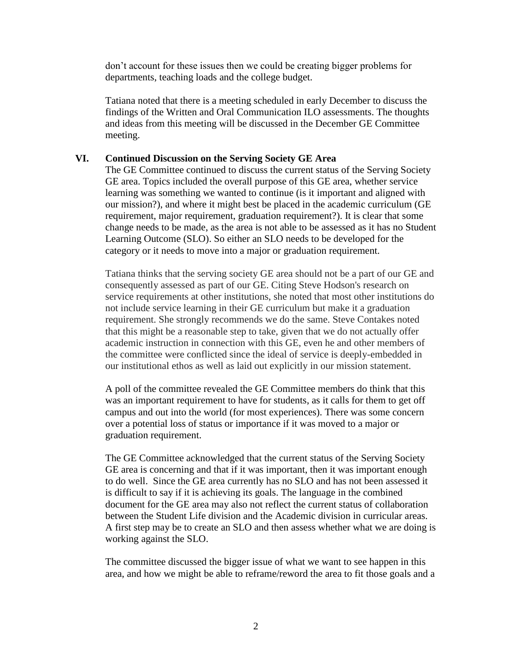don't account for these issues then we could be creating bigger problems for departments, teaching loads and the college budget.

Tatiana noted that there is a meeting scheduled in early December to discuss the findings of the Written and Oral Communication ILO assessments. The thoughts and ideas from this meeting will be discussed in the December GE Committee meeting.

## **VI. Continued Discussion on the Serving Society GE Area**

The GE Committee continued to discuss the current status of the Serving Society GE area. Topics included the overall purpose of this GE area, whether service learning was something we wanted to continue (is it important and aligned with our mission?), and where it might best be placed in the academic curriculum (GE requirement, major requirement, graduation requirement?). It is clear that some change needs to be made, as the area is not able to be assessed as it has no Student Learning Outcome (SLO). So either an SLO needs to be developed for the category or it needs to move into a major or graduation requirement.

Tatiana thinks that the serving society GE area should not be a part of our GE and consequently assessed as part of our GE. Citing Steve Hodson's research on service requirements at other institutions, she noted that most other institutions do not include service learning in their GE curriculum but make it a graduation requirement. She strongly recommends we do the same. Steve Contakes noted that this might be a reasonable step to take, given that we do not actually offer academic instruction in connection with this GE, even he and other members of the committee were conflicted since the ideal of service is deeply-embedded in our institutional ethos as well as laid out explicitly in our mission statement.

A poll of the committee revealed the GE Committee members do think that this was an important requirement to have for students, as it calls for them to get off campus and out into the world (for most experiences). There was some concern over a potential loss of status or importance if it was moved to a major or graduation requirement.

The GE Committee acknowledged that the current status of the Serving Society GE area is concerning and that if it was important, then it was important enough to do well. Since the GE area currently has no SLO and has not been assessed it is difficult to say if it is achieving its goals. The language in the combined document for the GE area may also not reflect the current status of collaboration between the Student Life division and the Academic division in curricular areas. A first step may be to create an SLO and then assess whether what we are doing is working against the SLO.

The committee discussed the bigger issue of what we want to see happen in this area, and how we might be able to reframe/reword the area to fit those goals and a